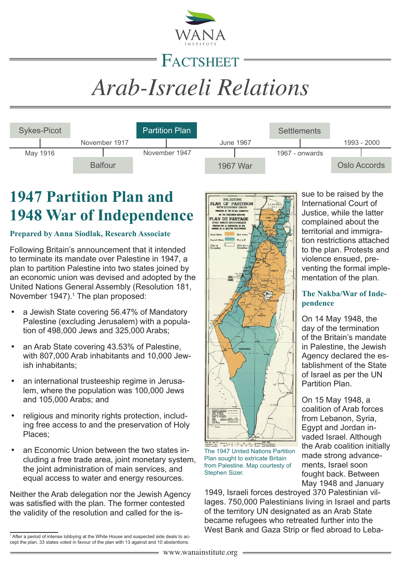

## FACTSHEET

# *Arab-Israeli Relations*

| <b>Sykes-Picot</b> |                | <b>Partition Plan</b> |           | <b>Settlements</b> |              |
|--------------------|----------------|-----------------------|-----------|--------------------|--------------|
|                    | November 1917  |                       | June 1967 |                    | 1993 - 2000  |
| May 1916           |                | November 1947         |           | 1967 - onwards     |              |
|                    | <b>Balfour</b> |                       | 1967 War  |                    | Oslo Accords |

## **1947 Partition Plan and 1948 War of Independence**

#### **Prepared by Anna Siodlak, Research Associate**

Following Britain's announcement that it intended to terminate its mandate over Palestine in 1947, a plan to partition Palestine into two states joined by an economic union was devised and adopted by the United Nations General Assembly (Resolution 181, November 1947).<sup>1</sup> The plan proposed:

- a Jewish State covering 56.47% of Mandatorv Palestine (excluding Jerusalem) with a population of 498,000 Jews and 325,000 Arabs;
- an Arab State covering 43.53% of Palestine. with 807,000 Arab inhabitants and 10,000 Jewish inhabitants;
- an international trusteeship regime in Jerusalem, where the population was 100,000 Jews and 105,000 Arabs; and
- religious and minority rights protection, including free access to and the preservation of Holy Places;
- an Economic Union between the two states including a free trade area, joint monetary system, the joint administration of main services, and equal access to water and energy resources.

Neither the Arab delegation nor the Jewish Agency was satisfied with the plan. The former contested the validity of the resolution and called for the is-



The 1947 United Nations Partition Plan sought to extricate Britain from Palestine. Map courtesty of Stephen Sizer.

1949, Israeli forces destroyed 370 Palestinian villages. 750,000 Palestinians living in Israel and parts of the territory UN designated as an Arab State became refugees who retreated further into the West Bank and Gaza Strip or fled abroad to Leba-

sue to be raised by the International Court of Justice, while the latter complained about the territorial and immigration restrictions attached to the plan. Protests and violence ensued, preventing the formal implementation of the plan.

#### **The Nakba/War of Independence**

On 14 May 1948, the day of the termination of the Britain's mandate in Palestine, the Jewish Agency declared the establishment of the State of Israel as per the UN Partition Plan.

On 15 May 1948, a coalition of Arab forces from Lebanon, Syria, Egypt and Jordan invaded Israel. Although the Arab coalition initially made strong advancements, Israel soon fought back. Between May 1948 and January

<sup>1</sup> After a period of intense lobbying at the White House and suspected side deals to accept the plan, 33 states voted in favour of the plan with 13 against and 10 abstentions.